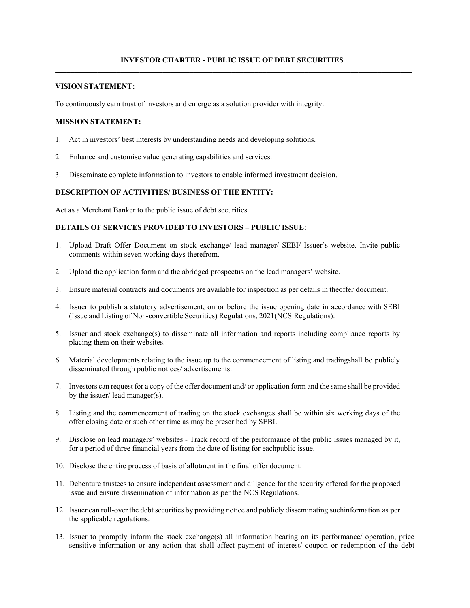### **VISION STATEMENT:**

To continuously earn trust of investors and emerge as a solution provider with integrity.

### **MISSION STATEMENT:**

- 1. Act in investors' best interests by understanding needs and developing solutions.
- 2. Enhance and customise value generating capabilities and services.
- 3. Disseminate complete information to investors to enable informed investment decision.

### **DESCRIPTION OF ACTIVITIES/ BUSINESS OF THE ENTITY:**

Act as a Merchant Banker to the public issue of debt securities.

### **DETAILS OF SERVICES PROVIDED TO INVESTORS – PUBLIC ISSUE:**

- 1. Upload Draft Offer Document on stock exchange/ lead manager/ SEBI/ Issuer's website. Invite public comments within seven working days therefrom.
- 2. Upload the application form and the abridged prospectus on the lead managers' website.
- 3. Ensure material contracts and documents are available for inspection as per details in the offer document.
- 4. Issuer to publish a statutory advertisement, on or before the issue opening date in accordance with SEBI (Issue and Listing of Non-convertible Securities) Regulations, 2021 (NCS Regulations).
- 5. Issuer and stock exchange(s) to disseminate all information and reports including compliance reports by placing them on their websites.
- 6. Material developments relating to the issue up to the commencement of listing and trading shall be publicly disseminated through public notices/ advertisements.
- 7. Investors can request for a copy of the offer document and/ or application form and the same shall be provided by the issuer/ lead manager(s).
- 8. Listing and the commencement of trading on the stock exchanges shall be within six working days of the offer closing date or such other time as may be prescribed by SEBI.
- 9. Disclose on lead managers' websites Track record of the performance of the public issues managed by it, for a period of three financial years from the date of listing for each public issue.
- 10. Disclose the entire process of basis of allotment in the final offer document.
- 11. Debenture trustees to ensure independent assessment and diligence for the security offered for the proposed issue and ensure dissemination of information as per the NCS Regulations.
- 12. Issuer can roll-over the debt securities by providing notice and publicly disseminating such information as per the applicable regulations.
- 13. Issuer to promptly inform the stock exchange(s) all information bearing on its performance/ operation, price sensitive information or any action that shall affect payment of interest/ coupon or redemption of the debt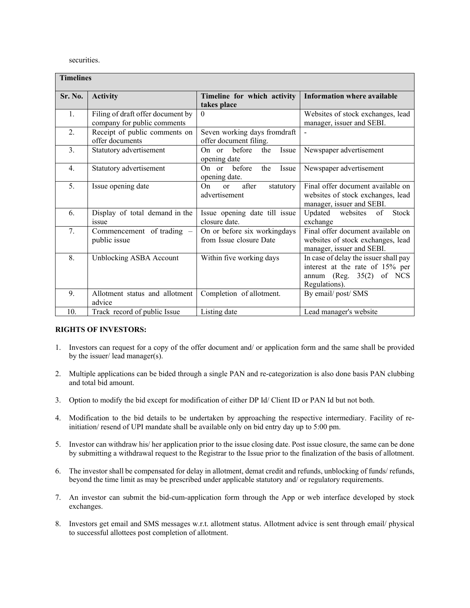securities.

| <b>Timelines</b> |                                                                  |                                                                        |                                                                                                                            |  |  |
|------------------|------------------------------------------------------------------|------------------------------------------------------------------------|----------------------------------------------------------------------------------------------------------------------------|--|--|
| Sr. No.          | <b>Activity</b>                                                  | Timeline for which activity<br>takes place                             | <b>Information where available</b>                                                                                         |  |  |
| 1.               | Filing of draft offer document by<br>company for public comments | $\mathbf{0}$                                                           | Websites of stock exchanges, lead<br>manager, issuer and SEBI.                                                             |  |  |
| 2.               | Receipt of public comments on<br>offer documents                 | Seven working days fromdraft<br>offer document filing.                 |                                                                                                                            |  |  |
| 3.               | Statutory advertisement                                          | before<br>Issue<br>the<br>On $or$<br>opening date                      | Newspaper advertisement                                                                                                    |  |  |
| $\overline{4}$ . | Statutory advertisement                                          | before<br>On $or$<br>the<br>Issue<br>opening date.                     | Newspaper advertisement                                                                                                    |  |  |
| 5.               | Issue opening date                                               | after<br>O <sub>n</sub><br>statutory<br><sub>or</sub><br>advertisement | Final offer document available on<br>websites of stock exchanges, lead<br>manager, issuer and SEBI.                        |  |  |
| 6.               | Display of total demand in the<br><i>issue</i>                   | Issue opening date till issue<br>closure date.                         | Stock<br>Updated<br>websites<br>of<br>exchange                                                                             |  |  |
| 7.               | Commencement of trading –<br>public issue                        | On or before six workingdays<br>from Issue closure Date                | Final offer document available on<br>websites of stock exchanges, lead<br>manager, issuer and SEBI.                        |  |  |
| 8.               | Unblocking ASBA Account                                          | Within five working days                                               | In case of delay the issuer shall pay<br>interest at the rate of 15% per<br>of NCS<br>annum (Reg. $35(2)$<br>Regulations). |  |  |
| 9.               | Allotment status and allotment<br>advice                         | Completion of allotment.                                               | By email/post/SMS                                                                                                          |  |  |
| 10.              | Track record of public Issue                                     | Listing date                                                           | Lead manager's website                                                                                                     |  |  |

### **RIGHTS OF INVESTORS:**

- 1. Investors can request for a copy of the offer document and/ or application form and the same shall be provided by the issuer/ lead manager(s).
- 2. Multiple applications can be bided through a single PAN and re-categorization is also done basis PAN clubbing and total bid amount.
- 3. Option to modify the bid except for modification of either DP Id/ Client ID or PAN Id but not both.
- 4. Modification to the bid details to be undertaken by approaching the respective intermediary. Facility of reinitiation/ resend of UPI mandate shall be available only on bid entry day up to 5:00 pm.
- 5. Investor can withdraw his/ her application prior to the issue closing date. Post issue closure, the same can be done by submitting a withdrawal request to the Registrar to the Issue prior to the finalization of the basis of allotment.
- 6. The investor shall be compensated for delay in allotment, demat credit and refunds, unblocking of funds/ refunds, beyond the time limit as may be prescribed under applicable statutory and/ or regulatory requirements.
- 7. An investor can submit the bid-cum-application form through the App or web interface developed by stock exchanges.
- 8. Investors get email and SMS messages w.r.t. allotment status. Allotment advice is sent through email/ physical to successful allottees post completion of allotment.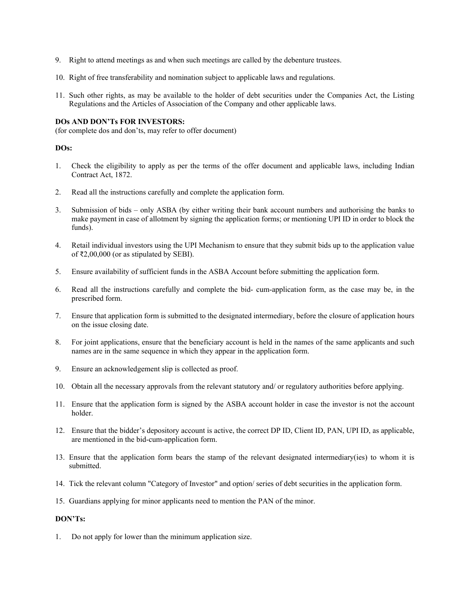- 9. Right to attend meetings as and when such meetings are called by the debenture trustees.
- 10. Right of free transferability and nomination subject to applicable laws and regulations.
- 11. Such other rights, as may be available to the holder of debt securities under the Companies Act, the Listing Regulations and the Articles of Association of the Company and other applicable laws.

#### **DOs AND DON'Ts FOR INVESTORS:**

(for complete dos and don'ts, may refer to offer document)

#### **DOs:**

- 1. Check the eligibility to apply as per the terms of the offer document and applicable laws, including Indian Contract Act, 1872.
- 2. Read all the instructions carefully and complete the application form.
- 3. Submission of bids only ASBA (by either writing their bank account numbers and authorising the banks to make payment in case of allotment by signing the application forms; or mentioning UPI ID in order to block the funds).
- 4. Retail individual investors using the UPI Mechanism to ensure that they submit bids up to the application value of ₹2,00,000 (or as stipulated by SEBI).
- 5. Ensure availability of sufficient funds in the ASBA Account before submitting the application form.
- 6. Read all the instructions carefully and complete the bid- cum-application form, as the case may be, in the prescribed form.
- 7. Ensure that application form is submitted to the designated intermediary, before the closure of application hours on the issue closing date.
- 8. For joint applications, ensure that the beneficiary account is held in the names of the same applicants and such names are in the same sequence in which they appear in the application form.
- 9. Ensure an acknowledgement slip is collected as proof.
- 10. Obtain all the necessary approvals from the relevant statutory and/ or regulatory authorities before applying.
- 11. Ensure that the application form is signed by the ASBA account holder in case the investor is not the account holder.
- 12. Ensure that the bidder's depository account is active, the correct DP ID, Client ID, PAN, UPI ID, as applicable, are mentioned in the bid-cum-application form.
- 13. Ensure that the application form bears the stamp of the relevant designated intermediary(ies) to whom it is submitted.
- 14. Tick the relevant column "Category of Investor" and option/ series of debt securities in the application form.
- 15. Guardians applying for minor applicants need to mention the PAN of the minor.

#### **DON'Ts:**

1. Do not apply for lower than the minimum application size.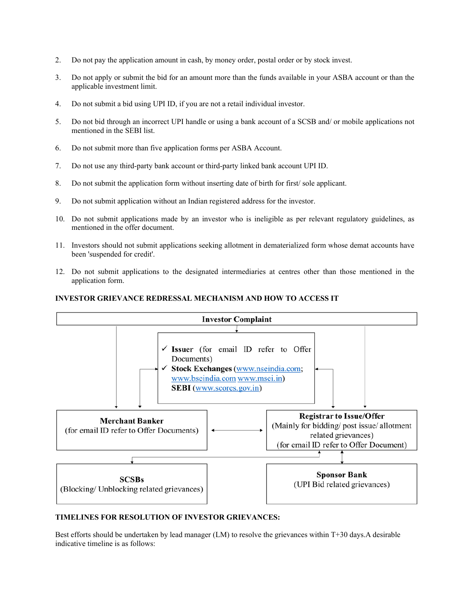- 2. Do not pay the application amount in cash, by money order, postal order or by stock invest.
- 3. Do not apply or submit the bid for an amount more than the funds available in your ASBA account or than the applicable investment limit.
- 4. Do not submit a bid using UPI ID, if you are not a retail individual investor.
- 5. Do not bid through an incorrect UPI handle or using a bank account of a SCSB and/ or mobile applications not mentioned in the SEBI list.
- 6. Do not submit more than five application forms per ASBA Account.
- 7. Do not use any third-party bank account or third-party linked bank account UPI ID.
- 8. Do not submit the application form without inserting date of birth for first/ sole applicant.
- 9. Do not submit application without an Indian registered address for the investor.
- 10. Do not submit applications made by an investor who is ineligible as per relevant regulatory guidelines, as mentioned in the offer document.
- 11. Investors should not submit applications seeking allotment in dematerialized form whose demat accounts have been 'suspended for credit'.
- 12. Do not submit applications to the designated intermediaries at centres other than those mentioned in the application form.

#### **INVESTOR GRIEVANCE REDRESSAL MECHANISM AND HOW TO ACCESS IT**



### **TIMELINES FOR RESOLUTION OF INVESTOR GRIEVANCES:**

Best efforts should be undertaken by lead manager (LM) to resolve the grievances within T+30 days. A desirable indicative timeline is as follows: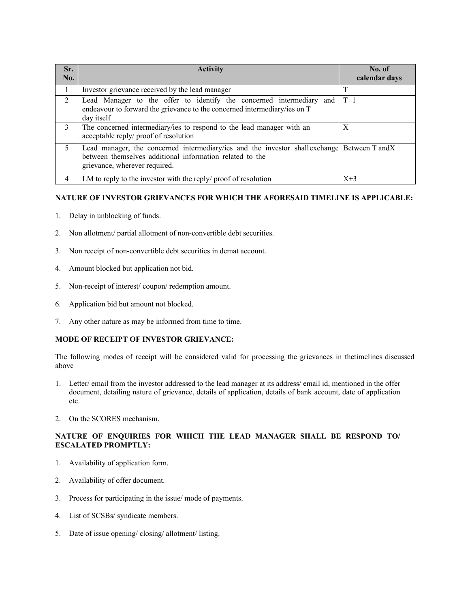| Sr.<br>No.                  | <b>Activity</b>                                                                                                                                                                          | No. of<br>calendar days |
|-----------------------------|------------------------------------------------------------------------------------------------------------------------------------------------------------------------------------------|-------------------------|
| 1                           | Investor grievance received by the lead manager                                                                                                                                          |                         |
| $\mathcal{D}_{\mathcal{L}}$ | Lead Manager to the offer to identify the concerned intermediary and<br>endeavour to forward the grievance to the concerned intermediary/ies on T<br>day itself                          | $T+1$                   |
| 3                           | The concerned intermediary/ies to respond to the lead manager with an<br>acceptable reply/ proof of resolution                                                                           | X                       |
| $\mathcal{L}$               | Lead manager, the concerned intermediary/ies and the investor shallexchange Between T and X<br>between themselves additional information related to the<br>grievance, wherever required. |                         |
| 4                           | LM to reply to the investor with the reply/ proof of resolution                                                                                                                          | $X+3$                   |

## **NATURE OF INVESTOR GRIEVANCES FOR WHICH THE AFORESAID TIMELINE IS APPLICABLE:**

- 1. Delay in unblocking of funds.
- 2. Non allotment/ partial allotment of non-convertible debt securities.
- 3. Non receipt of non-convertible debt securities in demat account.
- 4. Amount blocked but application not bid.
- 5. Non-receipt of interest/ coupon/ redemption amount.
- 6. Application bid but amount not blocked.
- 7. Any other nature as may be informed from time to time.

## **MODE OF RECEIPT OF INVESTOR GRIEVANCE:**

The following modes of receipt will be considered valid for processing the grievances in the timelines discussed above

- 1. Letter/ email from the investor addressed to the lead manager at its address/ email id, mentioned in the offer document, detailing nature of grievance, details of application, details of bank account, date of application etc.
- 2. On the SCORES mechanism.

## **NATURE OF ENQUIRIES FOR WHICH THE LEAD MANAGER SHALL BE RESPOND TO/ ESCALATED PROMPTLY:**

- 1. Availability of application form.
- 2. Availability of offer document.
- 3. Process for participating in the issue/ mode of payments.
- 4. List of SCSBs/ syndicate members.
- 5. Date of issue opening/ closing/ allotment/ listing.